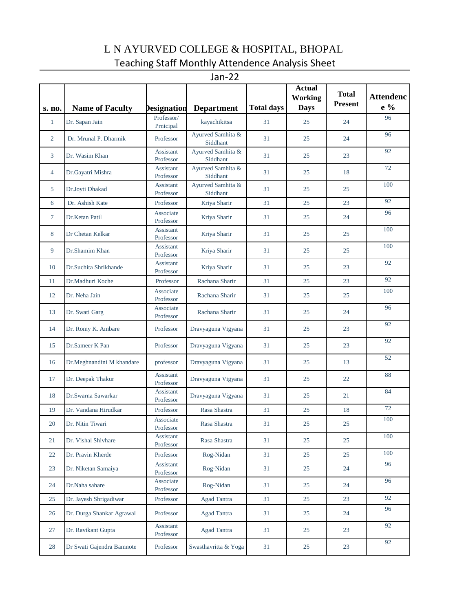## L N AYURVED COLLEGE & HOSPITAL, BHOPAL Teaching Staff Monthly Attendence Analysis Sheet

Jan-22

| s. no.         | <b>Name of Faculty</b>    | Designation                   | <b>Department</b>             | <b>Total days</b> | <b>Actual</b><br><b>Working</b><br><b>Days</b> | <b>Total</b><br><b>Present</b> | <b>Attendenc</b><br>e % |
|----------------|---------------------------|-------------------------------|-------------------------------|-------------------|------------------------------------------------|--------------------------------|-------------------------|
| $\mathbf{1}$   | Dr. Sapan Jain            | Professor/<br>Prnicipal       | kayachikitsa                  | 31                | 25                                             | 24                             | 96                      |
| $\overline{2}$ | Dr. Mrunal P. Dharmik     | Professor                     | Ayurved Samhita &<br>Siddhant | 31                | 25                                             | 24                             | 96                      |
| 3              | Dr. Wasim Khan            | <b>Assistant</b><br>Professor | Ayurved Samhita &<br>Siddhant | 31                | 25                                             | 23                             | 92                      |
| $\overline{4}$ | Dr.Gayatri Mishra         | Assistant<br>Professor        | Ayurved Samhita &<br>Siddhant | 31                | 25                                             | 18                             | 72                      |
| 5              | Dr.Joyti Dhakad           | Assistant<br>Professor        | Ayurved Samhita &<br>Siddhant | 31                | 25                                             | 25                             | 100                     |
| 6              | Dr. Ashish Kate           | Professor                     | Kriya Sharir                  | 31                | 25                                             | 23                             | 92                      |
| $\tau$         | Dr.Ketan Patil            | Associate<br>Professor        | Kriya Sharir                  | 31                | 25                                             | 24                             | 96                      |
| 8              | Dr Chetan Kelkar          | Assistant<br>Professor        | Kriya Sharir                  | 31                | 25                                             | 25                             | 100                     |
| 9              | Dr.Shamim Khan            | Assistant<br>Professor        | Kriya Sharir                  | 31                | 25                                             | 25                             | 100                     |
| 10             | Dr.Suchita Shrikhande     | Assistant<br>Professor        | Kriya Sharir                  | 31                | 25                                             | 23                             | 92                      |
| 11             | Dr.Madhuri Koche          | Professor                     | Rachana Sharir                | 31                | 25                                             | 23                             | 92                      |
| 12             | Dr. Neha Jain             | Associate<br>Professor        | Rachana Sharir                | 31                | 25                                             | 25                             | 100                     |
| 13             | Dr. Swati Garg            | Associate<br>Professor        | Rachana Sharir                | 31                | 25                                             | 24                             | 96                      |
| 14             | Dr. Romy K. Ambare        | Professor                     | Dravyaguna Vigyana            | 31                | 25                                             | 23                             | 92                      |
| 15             | Dr.Sameer K Pan           | Professor                     | Dravyaguna Vigyana            | 31                | 25                                             | 23                             | 92                      |
| 16             | Dr.Meghnandini M khandare | professor                     | Dravyaguna Vigyana            | 31                | 25                                             | 13                             | 52                      |
| 17             | Dr. Deepak Thakur         | Assistant<br>Professor        | Dravyaguna Vigyana            | 31                | 25                                             | 22                             | 88                      |
| 18             | Dr.Swarna Sawarkar        | Assistant<br>Professor        | Dravyaguna Vigyana            | 31                | 25                                             | 21                             | 84                      |
| 19             | Dr. Vandana Hirudkar      | Professor                     | Rasa Shastra                  | 31                | 25                                             | 18                             | 72                      |
| 20             | Dr. Nitin Tiwari          | Associate<br>Professor        | Rasa Shastra                  | 31                | 25                                             | 25                             | 100                     |
| 21             | Dr. Vishal Shivhare       | Assistant<br>Professor        | Rasa Shastra                  | 31                | 25                                             | 25                             | 100                     |
| 22             | Dr. Pravin Kherde         | Professor                     | Rog-Nidan                     | 31                | 25                                             | 25                             | 100                     |
| 23             | Dr. Niketan Samaiya       | Assistant<br>Professor        | Rog-Nidan                     | 31                | 25                                             | 24                             | 96                      |
| 24             | Dr.Naha sahare            | Associate<br>Professor        | Rog-Nidan                     | 31                | 25                                             | 24                             | 96                      |
| 25             | Dr. Jayesh Shrigadiwar    | Professor                     | <b>Agad Tantra</b>            | 31                | 25                                             | 23                             | 92                      |
| 26             | Dr. Durga Shankar Agrawal | Professor                     | <b>Agad Tantra</b>            | 31                | 25                                             | 24                             | 96                      |
| 27             | Dr. Ravikant Gupta        | Assistant<br>Professor        | <b>Agad Tantra</b>            | 31                | 25                                             | 23                             | 92                      |
| 28             | Dr Swati Gajendra Bamnote | Professor                     | Swasthavritta & Yoga          | 31                | 25                                             | 23                             | 92                      |